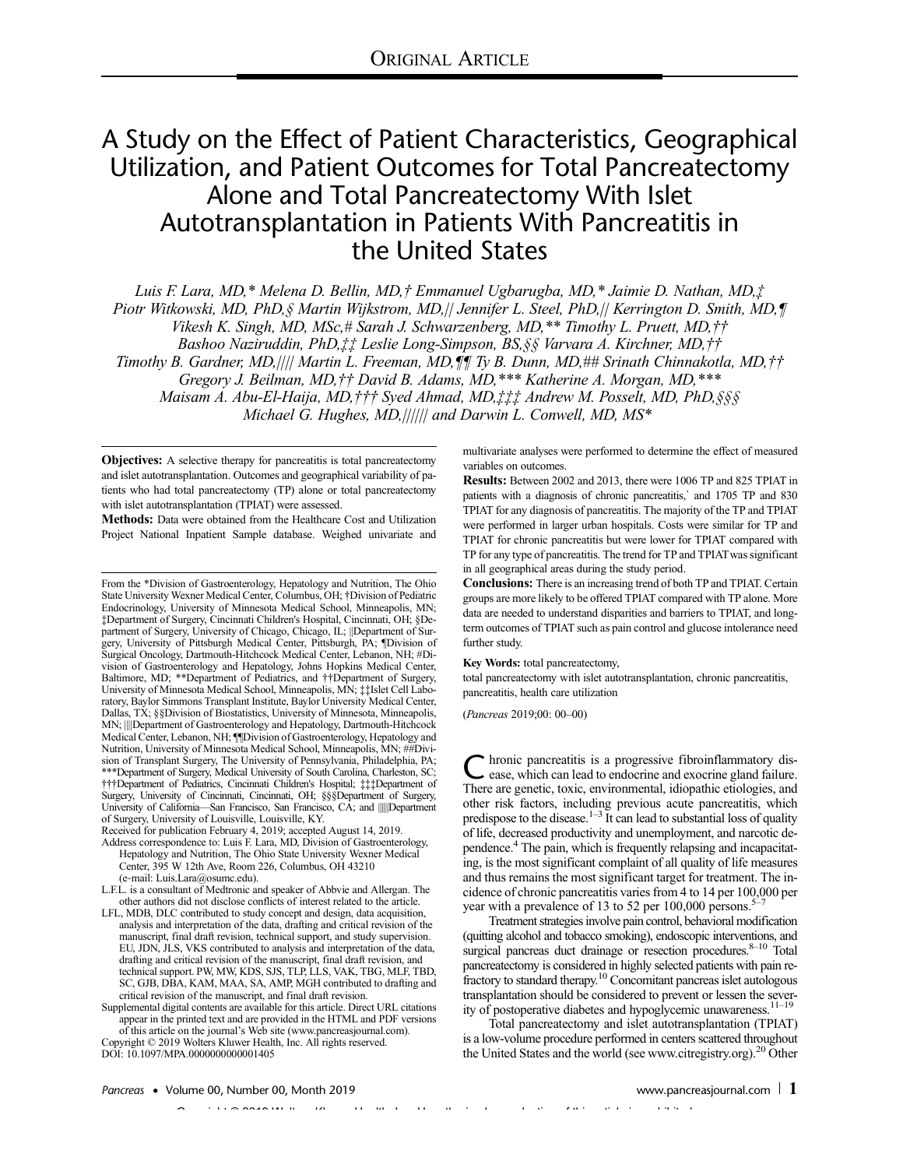# A Study on the Effect of Patient Characteristics, Geographical Utilization, and Patient Outcomes for Total Pancreatectomy Alone and Total Pancreatectomy With Islet Autotransplantation in Patients With Pancreatitis in the United States

Luis F. Lara, MD,\* Melena D. Bellin, MD,† Emmanuel Ugbarugba, MD,\* Jaimie D. Nathan, MD,‡ Piotr Witkowski, MD, PhD,§ Martin Wijkstrom, MD,|| Jennifer L. Steel, PhD,|| Kerrington D. Smith, MD,¶ Vikesh K. Singh, MD, MSc,# Sarah J. Schwarzenberg, MD,\*\* Timothy L. Pruett, MD,†† Bashoo Naziruddin, PhD,‡‡ Leslie Long-Simpson, BS,§§ Varvara A. Kirchner, MD,†† Timothy B. Gardner, MD,|||| Martin L. Freeman, MD,¶¶ Ty B. Dunn, MD,## Srinath Chinnakotla, MD,†† Gregory J. Beilman, MD,†† David B. Adams, MD,\*\*\* Katherine A. Morgan, MD,\*\*\* Maisam A. Abu-El-Haija, MD,††† Syed Ahmad, MD,‡‡‡ Andrew M. Posselt, MD, PhD,§§§ Michael G. Hughes, MD,|||||| and Darwin L. Conwell, MD, MS\*

Objectives: A selective therapy for pancreatitis is total pancreatectomy and islet autotransplantation. Outcomes and geographical variability of patients who had total pancreatectomy (TP) alone or total pancreatectomy with islet autotransplantation (TPIAT) were assessed.

Methods: Data were obtained from the Healthcare Cost and Utilization Project National Inpatient Sample database. Weighed univariate and

From the \*Division of Gastroenterology, Hepatology and Nutrition, The Ohio State University Wexner Medical Center, Columbus, OH; †Division of Pediatric Endocrinology, University of Minnesota Medical School, Minneapolis, MN; ‡Department of Surgery, Cincinnati Children's Hospital, Cincinnati, OH; §Department of Surgery, University of Chicago, Chicago, IL; ||Department of Surgery, University of Pittsburgh Medical Center, Pittsburgh, PA; ¶Division of Surgical Oncology, Dartmouth-Hitchcock Medical Center, Lebanon, NH; #Division of Gastroenterology and Hepatology, Johns Hopkins Medical Center, Baltimore, MD; \*\*Department of Pediatrics, and ††Department of Surgery, University of Minnesota Medical School, Minneapolis, MN;  $\ddagger$  †Islet Cell Laboratory, Baylor Simmons Transplant Institute, Baylor University Medical Center, Dallas, TX; §§Division of Biostatistics, University of Minnesota, Minneapolis, MN; ||||Department of Gastroenterology and Hepatology, Dartmouth-Hitchcock Medical Center, Lebanon, NH; [[Division of Gastroenterology, Hepatology and Nutrition, University of Minnesota Medical School, Minneapolis, MN; ##Division of Transplant Surgery, The University of Pennsylvania, Philadelphia, PA; \*\*\*Department of Surgery, Medical University of South Carolina, Charleston, SC; †††Department of Pediatrics, Cincinnati Children's Hospital; ‡‡‡Department of Surgery, University of Cincinnati, Cincinnati, OH; §§§Department of Surgery, University of California—San Francisco, San Francisco, CA; and ||||||Department of Surgery, University of Louisville, Louisville, KY.

Received for publication February 4, 2019; accepted August 14, 2019. Address correspondence to: Luis F. Lara, MD, Division of Gastroenterology, Hepatology and Nutrition, The Ohio State University Wexner Medical Center, 395 W 12th Ave, Room 226, Columbus, OH 43210 (e‐mail: [Luis.Lara@osumc.edu](mailto:Luis.Lara@osumc.edu)).

L.F.L. is a consultant of Medtronic and speaker of Abbvie and Allergan. The other authors did not disclose conflicts of interest related to the article.

LFL, MDB, DLC contributed to study concept and design, data acquisition, analysis and interpretation of the data, drafting and critical revision of the manuscript, final draft revision, technical support, and study supervision. EU, JDN, JLS, VKS contributed to analysis and interpretation of the data, drafting and critical revision of the manuscript, final draft revision, and technical support. PW, MW, KDS, SJS, TLP, LLS, VAK, TBG, MLF, TBD, SC, GJB, DBA, KAM, MAA, SA, AMP, MGH contributed to drafting and critical revision of the manuscript, and final draft revision.

Supplemental digital contents are available for this article. Direct URL citations appear in the printed text and are provided in the HTML and PDF versions of this article on the journal's Web site [\(www.pancreasjournal.com](http://www.pancreasjournal.com)).

Copyright © 2019 Wolters Kluwer Health, Inc. All rights reserved. DOI: 10.1097/MPA.0000000000001405

multivariate analyses were performed to determine the effect of measured variables on outcomes.

Results: Between 2002 and 2013, there were 1006 TP and 825 TPIAT in patients with a diagnosis of chronic pancreatitis,` and 1705 TP and 830 TPIAT for any diagnosis of pancreatitis. The majority of the TP and TPIAT were performed in larger urban hospitals. Costs were similar for TP and TPIAT for chronic pancreatitis but were lower for TPIAT compared with TP for any type of pancreatitis. The trend for TP and TPIATwas significant in all geographical areas during the study period.

Conclusions: There is an increasing trend of both TP and TPIAT. Certain groups are more likely to be offered TPIAT compared with TP alone. More data are needed to understand disparities and barriers to TPIAT, and longterm outcomes of TPIAT such as pain control and glucose intolerance need further study.

Key Words: total pancreatectomy,

total pancreatectomy with islet autotransplantation, chronic pancreatitis, pancreatitis, health care utilization

(Pancreas 2019;00: 00–00)

Chronic pancreatitis is a progressive fibroinflammatory dis-ease, which can lead to endocrine and exocrine gland failure. There are genetic, toxic, environmental, idiopathic etiologies, and other risk factors, including previous acute pancreatitis, which predispose to the disease.<sup>1–3</sup> It can lead to substantial loss of quality of life, decreased productivity and unemployment, and narcotic dependence.4 The pain, which is frequently relapsing and incapacitating, is the most significant complaint of all quality of life measures and thus remains the most significant target for treatment. The incidence of chronic pancreatitis varies from 4 to 14 per 100,000 per year with a prevalence of 13 to 52 per 100,000 persons.<sup>5–7</sup>

Treatment strategies involve pain control, behavioral modification (quitting alcohol and tobacco smoking), endoscopic interventions, and surgical pancreas duct drainage or resection procedures.<sup>8-10</sup> Total pancreatectomy is considered in highly selected patients with pain refractory to standard therapy.10 Concomitant pancreas islet autologous transplantation should be considered to prevent or lessen the severity of postoperative diabetes and hypoglycemic unawareness.11–<sup>19</sup>

Total pancreatectomy and islet autotransplantation (TPIAT) is a low-volume procedure performed in centers scattered throughout the United States and the world (see [www.citregistry.org\)](http://www.citregistry.org).<sup>20</sup> Other

Pancreas • Volume 00, Number 00, Month 2019 [www.pancreasjournal.com](http://www.pancreasjournal.com)  $1\;1$ 

Copyright © 2019 Wolters Kluwer Health, Inc. Unauthorized reproduction of this article is prohibited.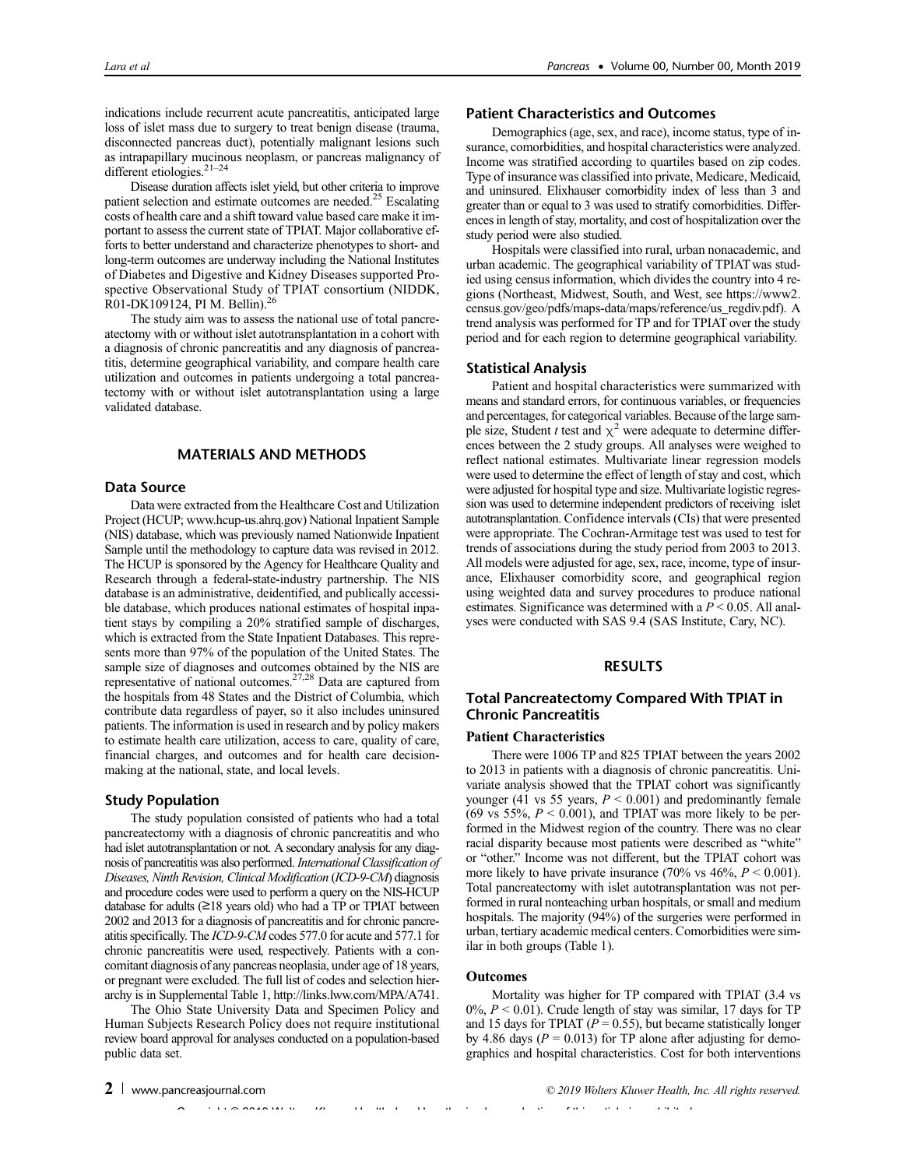indications include recurrent acute pancreatitis, anticipated large loss of islet mass due to surgery to treat benign disease (trauma, disconnected pancreas duct), potentially malignant lesions such as intrapapillary mucinous neoplasm, or pancreas malignancy of different etiologies.<sup>21–24</sup>

Disease duration affects islet yield, but other criteria to improve patient selection and estimate outcomes are needed.<sup>25</sup> Escalating costs of health care and a shift toward value based care make it important to assess the current state of TPIAT. Major collaborative efforts to better understand and characterize phenotypes to short- and long-term outcomes are underway including the National Institutes of Diabetes and Digestive and Kidney Diseases supported Prospective Observational Study of TPIAT consortium (NIDDK, R01-DK109124, PI M. Bellin).26

The study aim was to assess the national use of total pancreatectomy with or without islet autotransplantation in a cohort with a diagnosis of chronic pancreatitis and any diagnosis of pancreatitis, determine geographical variability, and compare health care utilization and outcomes in patients undergoing a total pancreatectomy with or without islet autotransplantation using a large validated database.

# MATERIALS AND METHODS

### Data Source

Data were extracted from the Healthcare Cost and Utilization Project (HCUP; [www.hcup-us.ahrq.gov](http://www.hcup-us.ahrq.gov)) National Inpatient Sample (NIS) database, which was previously named Nationwide Inpatient Sample until the methodology to capture data was revised in 2012. The HCUP is sponsored by the Agency for Healthcare Quality and Research through a federal-state-industry partnership. The NIS database is an administrative, deidentified, and publically accessible database, which produces national estimates of hospital inpatient stays by compiling a 20% stratified sample of discharges, which is extracted from the State Inpatient Databases. This represents more than 97% of the population of the United States. The sample size of diagnoses and outcomes obtained by the NIS are representative of national outcomes.<sup>27,28</sup> Data are captured from the hospitals from 48 States and the District of Columbia, which contribute data regardless of payer, so it also includes uninsured patients. The information is used in research and by policy makers to estimate health care utilization, access to care, quality of care, financial charges, and outcomes and for health care decisionmaking at the national, state, and local levels.

#### Study Population

The study population consisted of patients who had a total pancreatectomy with a diagnosis of chronic pancreatitis and who had islet autotransplantation or not. A secondary analysis for any diagnosis of pancreatitis was also performed. International Classification of Diseases, Ninth Revision, Clinical Modification (ICD-9-CM) diagnosis and procedure codes were used to perform a query on the NIS-HCUP database for adults (≥18 years old) who had a TP or TPIAT between 2002 and 2013 for a diagnosis of pancreatitis and for chronic pancreatitis specifically. The ICD-9-CM codes 577.0 for acute and 577.1 for chronic pancreatitis were used, respectively. Patients with a concomitant diagnosis of any pancreas neoplasia, under age of 18 years, or pregnant were excluded. The full list of codes and selection hierarchy is in Supplemental Table 1, [http://links.lww.com/MPA/A741.](http://links.lww.com/MPA/A741)

The Ohio State University Data and Specimen Policy and Human Subjects Research Policy does not require institutional review board approval for analyses conducted on a population-based public data set.

### Patient Characteristics and Outcomes

Demographics (age, sex, and race), income status, type of insurance, comorbidities, and hospital characteristics were analyzed. Income was stratified according to quartiles based on zip codes. Type of insurance was classified into private, Medicare, Medicaid, and uninsured. Elixhauser comorbidity index of less than 3 and greater than or equal to 3 was used to stratify comorbidities. Differences in length of stay, mortality, and cost of hospitalization over the study period were also studied.

Hospitals were classified into rural, urban nonacademic, and urban academic. The geographical variability of TPIAT was studied using census information, which divides the country into 4 regions (Northeast, Midwest, South, and West, see [https://www2.](https://www2.census.gov/geo/pdfs/maps-data/maps/reference/us_regdiv.pdf) [census.gov/geo/pdfs/maps-data/maps/reference/us\\_regdiv.pdf\)](https://www2.census.gov/geo/pdfs/maps-data/maps/reference/us_regdiv.pdf). A trend analysis was performed for TP and for TPIAT over the study period and for each region to determine geographical variability.

#### Statistical Analysis

Patient and hospital characteristics were summarized with means and standard errors, for continuous variables, or frequencies and percentages, for categorical variables. Because of the large sample size, Student t test and  $\chi^2$  were adequate to determine differences between the 2 study groups. All analyses were weighed to reflect national estimates. Multivariate linear regression models were used to determine the effect of length of stay and cost, which were adjusted for hospital type and size. Multivariate logistic regression was used to determine independent predictors of receiving islet autotransplantation. Confidence intervals (CIs) that were presented were appropriate. The Cochran-Armitage test was used to test for trends of associations during the study period from 2003 to 2013. All models were adjusted for age, sex, race, income, type of insurance, Elixhauser comorbidity score, and geographical region using weighted data and survey procedures to produce national estimates. Significance was determined with a  $P \le 0.05$ . All analyses were conducted with SAS 9.4 (SAS Institute, Cary, NC).

# RESULTS

# Total Pancreatectomy Compared With TPIAT in Chronic Pancreatitis

# Patient Characteristics

There were 1006 TP and 825 TPIAT between the years 2002 to 2013 in patients with a diagnosis of chronic pancreatitis. Univariate analysis showed that the TPIAT cohort was significantly younger (41 vs 55 years,  $P < 0.001$ ) and predominantly female (69 vs 55%,  $P < 0.001$ ), and TPIAT was more likely to be performed in the Midwest region of the country. There was no clear racial disparity because most patients were described as "white" or "other." Income was not different, but the TPIAT cohort was more likely to have private insurance (70% vs  $46\%, P \le 0.001$ ). Total pancreatectomy with islet autotransplantation was not performed in rural nonteaching urban hospitals, or small and medium hospitals. The majority (94%) of the surgeries were performed in urban, tertiary academic medical centers. Comorbidities were similar in both groups (Table 1).

### **Outcomes**

Mortality was higher for TP compared with TPIAT (3.4 vs 0%,  $P < 0.01$ ). Crude length of stay was similar, 17 days for TP and 15 days for TPIAT ( $P = 0.55$ ), but became statistically longer by 4.86 days ( $P = 0.013$ ) for TP alone after adjusting for demographics and hospital characteristics. Cost for both interventions

2 [www.pancreasjournal.com](http://www.pancreasjournal.com) © 2019 Wolters Kluwer Health, Inc. All rights reserved.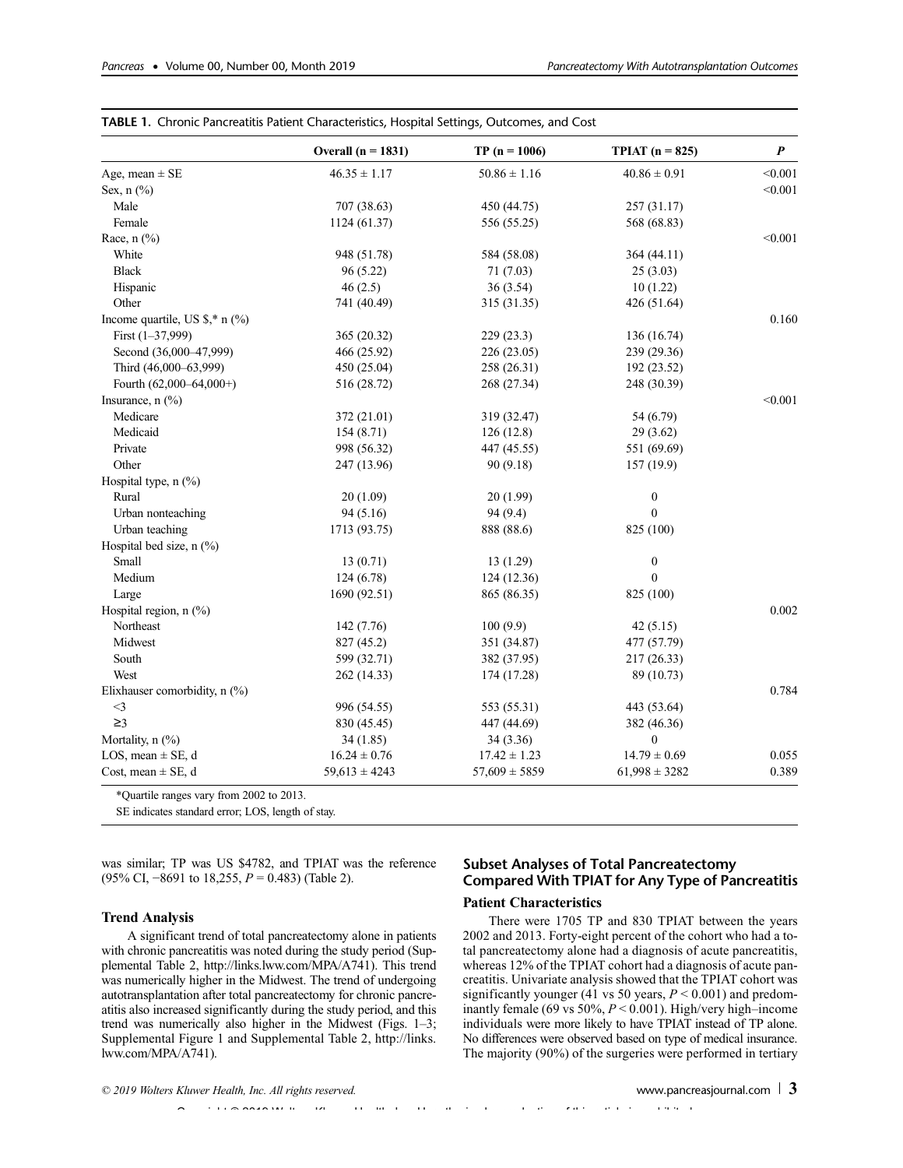|                                      | Overall $(n = 1831)$ | $TP(n = 1006)$    | TPIAT $(n = 825)$ | $\boldsymbol{P}$ |
|--------------------------------------|----------------------|-------------------|-------------------|------------------|
| Age, mean $\pm$ SE                   | $46.35 \pm 1.17$     | $50.86 \pm 1.16$  | $40.86 \pm 0.91$  | < 0.001          |
| Sex, $n$ $(\%)$                      |                      |                   |                   | < 0.001          |
| Male                                 | 707 (38.63)          | 450 (44.75)       | 257(31.17)        |                  |
| Female                               | 1124 (61.37)         | 556 (55.25)       | 568 (68.83)       |                  |
| Race, $n$ $\left(\frac{9}{0}\right)$ |                      |                   |                   | < 0.001          |
| White                                | 948 (51.78)          | 584 (58.08)       | 364 (44.11)       |                  |
| <b>Black</b>                         | 96 (5.22)            | 71(7.03)          | 25(3.03)          |                  |
| Hispanic                             | 46(2.5)              | 36(3.54)          | 10(1.22)          |                  |
| Other                                | 741 (40.49)          | 315 (31.35)       | 426 (51.64)       |                  |
| Income quartile, US $\$ , * n (%)    |                      |                   |                   | 0.160            |
| First (1-37,999)                     | 365 (20.32)          | 229 (23.3)        | 136 (16.74)       |                  |
| Second (36,000-47,999)               | 466 (25.92)          | 226 (23.05)       | 239 (29.36)       |                  |
| Third (46,000-63,999)                | 450 (25.04)          | 258 (26.31)       | 192 (23.52)       |                  |
| Fourth $(62,000-64,000+)$            | 516 (28.72)          | 268 (27.34)       | 248 (30.39)       |                  |
| Insurance, $n$ (%)                   |                      |                   |                   | < 0.001          |
| Medicare                             | 372 (21.01)          | 319 (32.47)       | 54 (6.79)         |                  |
| Medicaid                             | 154(8.71)            | 126(12.8)         | 29 (3.62)         |                  |
| Private                              | 998 (56.32)          | 447 (45.55)       | 551 (69.69)       |                  |
| Other                                | 247 (13.96)          | 90 (9.18)         | 157 (19.9)        |                  |
| Hospital type, $n$ (%)               |                      |                   |                   |                  |
| Rural                                | 20(1.09)             | 20(1.99)          | $\boldsymbol{0}$  |                  |
| Urban nonteaching                    | 94 (5.16)            | 94 (9.4)          | $\mathbf{0}$      |                  |
| Urban teaching                       | 1713 (93.75)         | 888 (88.6)        | 825 (100)         |                  |
| Hospital bed size, n (%)             |                      |                   |                   |                  |
| Small                                | 13(0.71)             | 13(1.29)          | $\boldsymbol{0}$  |                  |
| Medium                               | 124 (6.78)           | 124(12.36)        | $\theta$          |                  |
| Large                                | 1690 (92.51)         | 865 (86.35)       | 825 (100)         |                  |
| Hospital region, $n$ (%)             |                      |                   |                   | 0.002            |
| Northeast                            | 142 (7.76)           | 100(9.9)          | 42(5.15)          |                  |
| Midwest                              | 827 (45.2)           | 351 (34.87)       | 477 (57.79)       |                  |
| South                                | 599 (32.71)          | 382 (37.95)       | 217 (26.33)       |                  |
| West                                 | 262 (14.33)          | 174 (17.28)       | 89 (10.73)        |                  |
| Elixhauser comorbidity, n (%)        |                      |                   |                   | 0.784            |
| $<$ 3                                | 996 (54.55)          | 553 (55.31)       | 443 (53.64)       |                  |
| $\geq$ 3                             | 830 (45.45)          | 447 (44.69)       | 382 (46.36)       |                  |
| Mortality, $n$ $(\%)$                | 34(1.85)             | 34 (3.36)         | $\boldsymbol{0}$  |                  |
| LOS, mean $\pm$ SE, d                | $16.24 \pm 0.76$     | $17.42 \pm 1.23$  | $14.79 \pm 0.69$  | 0.055            |
| Cost, mean $\pm$ SE, d               | $59,613 \pm 4243$    | $57,609 \pm 5859$ | $61,998 \pm 3282$ | 0.389            |

|  | TABLE 1. Chronic Pancreatitis Patient Characteristics, Hospital Settings, Outcomes, and Cost |  |  |  |  |  |
|--|----------------------------------------------------------------------------------------------|--|--|--|--|--|
|--|----------------------------------------------------------------------------------------------|--|--|--|--|--|

was similar; TP was US \$4782, and TPIAT was the reference

(95% CI,  $-8691$  to 18,255,  $P = 0.483$ ) (Table 2).

SE indicates standard error; LOS, length of stay.

#### Trend Analysis

A significant trend of total pancreatectomy alone in patients with chronic pancreatitis was noted during the study period (Supplemental Table 2,<http://links.lww.com/MPA/A741>). This trend was numerically higher in the Midwest. The trend of undergoing autotransplantation after total pancreatectomy for chronic pancreatitis also increased significantly during the study period, and this trend was numerically also higher in the Midwest (Figs. 1–3; Supplemental Figure 1 and Supplemental Table 2, [http://links.](http://links.lww.com/MPA/A741) [lww.com/MPA/A741](http://links.lww.com/MPA/A741)).

# Subset Analyses of Total Pancreatectomy Compared With TPIAT for Any Type of Pancreatitis

### Patient Characteristics

There were 1705 TP and 830 TPIAT between the years 2002 and 2013. Forty-eight percent of the cohort who had a total pancreatectomy alone had a diagnosis of acute pancreatitis, whereas 12% of the TPIAT cohort had a diagnosis of acute pancreatitis. Univariate analysis showed that the TPIAT cohort was significantly younger (41 vs 50 years,  $P < 0.001$ ) and predominantly female (69 vs 50%,  $P < 0.001$ ). High/very high–income individuals were more likely to have TPIAT instead of TP alone. No differences were observed based on type of medical insurance. The majority (90%) of the surgeries were performed in tertiary

© 2019 Wolters Kluwer Health, Inc. All rights reserved.  $\Box$  and  $\Box$  and  $\Box$  [www.pancreasjournal.com](http://www.pancreasjournal.com)  $\Box$  3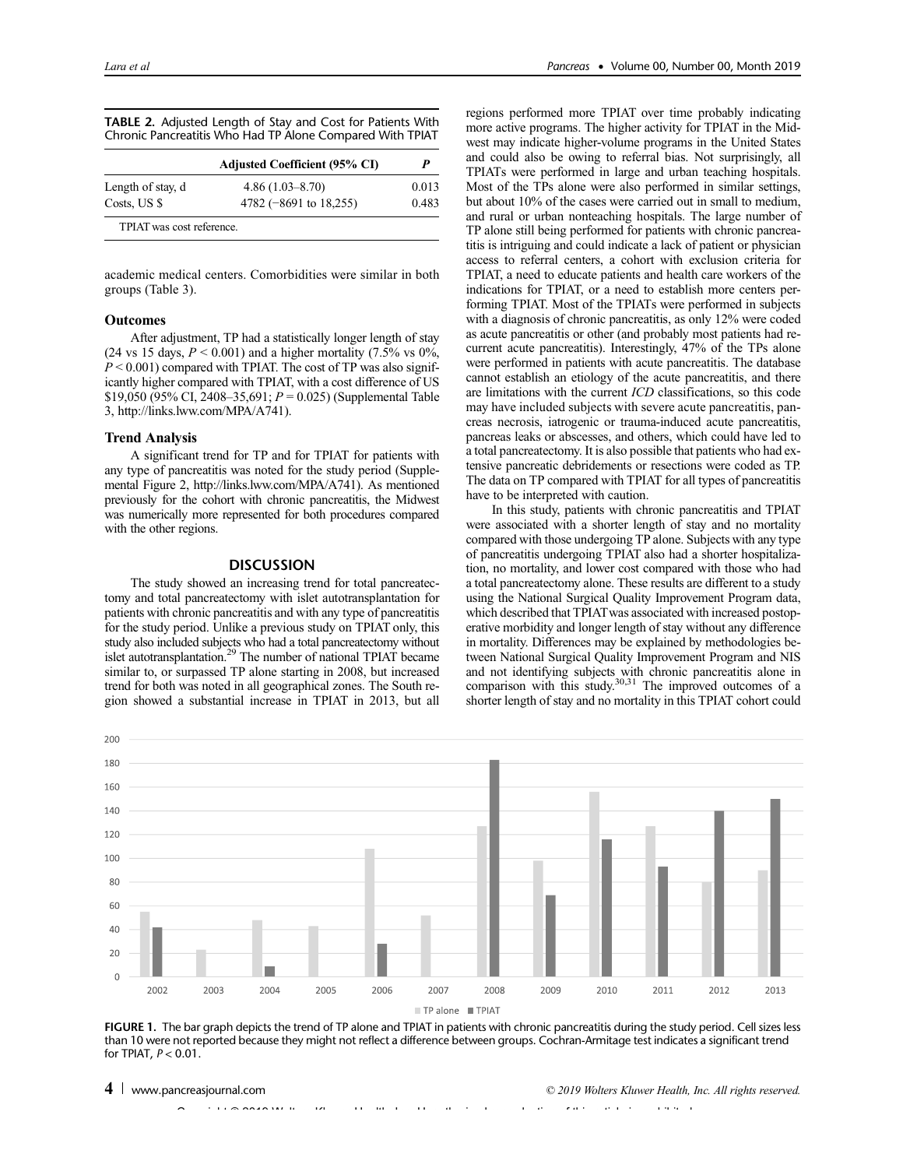| <b>TABLE 2.</b> Adjusted Length of Stay and Cost for Patients With |  |
|--------------------------------------------------------------------|--|
| Chronic Pancreatitis Who Had TP Alone Compared With TPIAT          |  |

|                           | <b>Adjusted Coefficient (95% CI)</b> | P     |
|---------------------------|--------------------------------------|-------|
| Length of stay, d         | $4.86(1.03 - 8.70)$                  | 0.013 |
| Costs, US \$              | 4782 $(-8691$ to 18,255)             | 0.483 |
| TPIAT was cost reference. |                                      |       |

academic medical centers. Comorbidities were similar in both groups (Table 3).

#### **Outcomes**

After adjustment, TP had a statistically longer length of stay (24 vs 15 days,  $P \le 0.001$ ) and a higher mortality (7.5% vs 0%,  $P < 0.001$ ) compared with TPIAT. The cost of TP was also significantly higher compared with TPIAT, with a cost difference of US \$19,050 (95% CI, 2408–35,691;  $P = 0.025$ ) (Supplemental Table 3, [http://links.lww.com/MPA/A741\)](http://links.lww.com/MPA/A741).

#### Trend Analysis

A significant trend for TP and for TPIAT for patients with any type of pancreatitis was noted for the study period (Supplemental Figure 2, [http://links.lww.com/MPA/A741\)](http://links.lww.com/MPA/A741). As mentioned previously for the cohort with chronic pancreatitis, the Midwest was numerically more represented for both procedures compared with the other regions.

#### **DISCUSSION**

The study showed an increasing trend for total pancreatectomy and total pancreatectomy with islet autotransplantation for patients with chronic pancreatitis and with any type of pancreatitis for the study period. Unlike a previous study on TPIAT only, this study also included subjects who had a total pancreatectomy without islet autotransplantation.<sup>29</sup> The number of national TPIAT became similar to, or surpassed TP alone starting in 2008, but increased trend for both was noted in all geographical zones. The South region showed a substantial increase in TPIAT in 2013, but all regions performed more TPIAT over time probably indicating more active programs. The higher activity for TPIAT in the Midwest may indicate higher-volume programs in the United States and could also be owing to referral bias. Not surprisingly, all TPIATs were performed in large and urban teaching hospitals. Most of the TPs alone were also performed in similar settings, but about 10% of the cases were carried out in small to medium, and rural or urban nonteaching hospitals. The large number of TP alone still being performed for patients with chronic pancreatitis is intriguing and could indicate a lack of patient or physician access to referral centers, a cohort with exclusion criteria for TPIAT, a need to educate patients and health care workers of the indications for TPIAT, or a need to establish more centers performing TPIAT. Most of the TPIATs were performed in subjects with a diagnosis of chronic pancreatitis, as only 12% were coded as acute pancreatitis or other (and probably most patients had recurrent acute pancreatitis). Interestingly, 47% of the TPs alone were performed in patients with acute pancreatitis. The database cannot establish an etiology of the acute pancreatitis, and there are limitations with the current ICD classifications, so this code may have included subjects with severe acute pancreatitis, pancreas necrosis, iatrogenic or trauma-induced acute pancreatitis, pancreas leaks or abscesses, and others, which could have led to a total pancreatectomy. It is also possible that patients who had extensive pancreatic debridements or resections were coded as TP. The data on TP compared with TPIAT for all types of pancreatitis have to be interpreted with caution.

In this study, patients with chronic pancreatitis and TPIAT were associated with a shorter length of stay and no mortality compared with those undergoing TP alone. Subjects with any type of pancreatitis undergoing TPIAT also had a shorter hospitalization, no mortality, and lower cost compared with those who had a total pancreatectomy alone. These results are different to a study using the National Surgical Quality Improvement Program data, which described that TPIATwas associated with increased postoperative morbidity and longer length of stay without any difference in mortality. Differences may be explained by methodologies between National Surgical Quality Improvement Program and NIS and not identifying subjects with chronic pancreatitis alone in comparison with this study.<sup>30,31</sup> The improved outcomes of a shorter length of stay and no mortality in this TPIAT cohort could



FIGURE 1. The bar graph depicts the trend of TP alone and TPIAT in patients with chronic pancreatitis during the study period. Cell sizes less than 10 were not reported because they might not reflect a difference between groups. Cochran-Armitage test indicates a significant trend for TPIAT,  $P < 0.01$ .

Copyright © 2019 Wolters Kluwer Health, Inc. Unauthorized reproduction of this article is prohibited.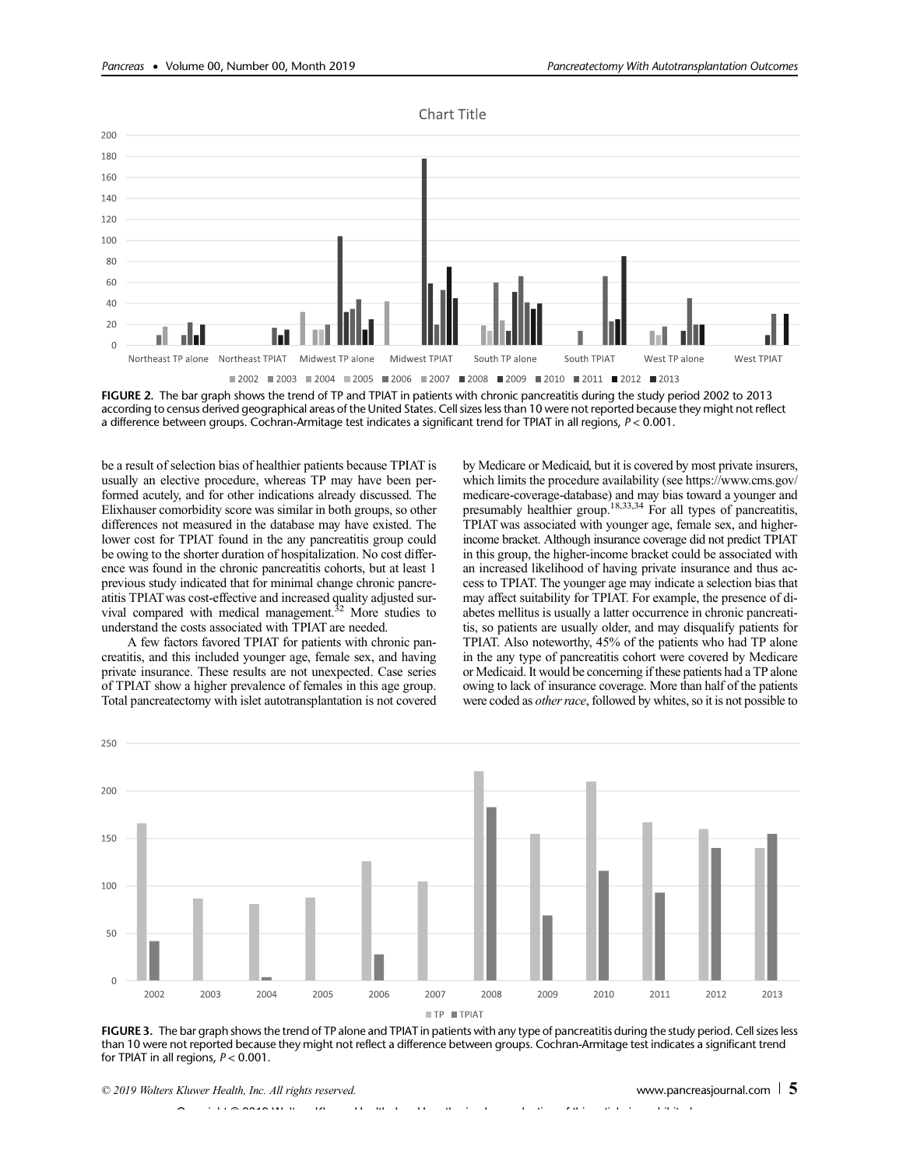



be a result of selection bias of healthier patients because TPIAT is usually an elective procedure, whereas TP may have been performed acutely, and for other indications already discussed. The Elixhauser comorbidity score was similar in both groups, so other differences not measured in the database may have existed. The lower cost for TPIAT found in the any pancreatitis group could be owing to the shorter duration of hospitalization. No cost difference was found in the chronic pancreatitis cohorts, but at least 1 previous study indicated that for minimal change chronic pancreatitis TPIATwas cost-effective and increased quality adjusted survival compared with medical management.<sup>32</sup> More studies to understand the costs associated with TPIAT are needed.

A few factors favored TPIAT for patients with chronic pancreatitis, and this included younger age, female sex, and having private insurance. These results are not unexpected. Case series of TPIAT show a higher prevalence of females in this age group. Total pancreatectomy with islet autotransplantation is not covered by Medicare or Medicaid, but it is covered by most private insurers, which limits the procedure availability (see [https://www.cms.gov/](https://www.cms.gov/medicare-coverage-database) [medicare-coverage-database](https://www.cms.gov/medicare-coverage-database)) and may bias toward a younger and<br>presumably healthier group.<sup>18,33,34</sup> For all types of pancreatitis, TPIAT was associated with younger age, female sex, and higherincome bracket. Although insurance coverage did not predict TPIAT in this group, the higher-income bracket could be associated with an increased likelihood of having private insurance and thus access to TPIAT. The younger age may indicate a selection bias that may affect suitability for TPIAT. For example, the presence of diabetes mellitus is usually a latter occurrence in chronic pancreatitis, so patients are usually older, and may disqualify patients for TPIAT. Also noteworthy, 45% of the patients who had TP alone in the any type of pancreatitis cohort were covered by Medicare or Medicaid. It would be concerning if these patients had a TP alone owing to lack of insurance coverage. More than half of the patients were coded as *other race*, followed by whites, so it is not possible to



FIGURE 3. The bar graph shows the trend of TP alone and TPIAT in patients with any type of pancreatitis during the study period. Cell sizes less than 10 were not reported because they might not reflect a difference between groups. Cochran-Armitage test indicates a significant trend for TPIAT in all regions,  $P < 0.001$ .

© 2019 Wolters Kluwer Health, Inc. All rights reserved. [www.pancreasjournal.com](http://www.pancreasjournal.com)  $\,$  5

Copyright © 2019 Wolters Kluwer Health, Inc. Unauthorized reproduction of this article is prohibited.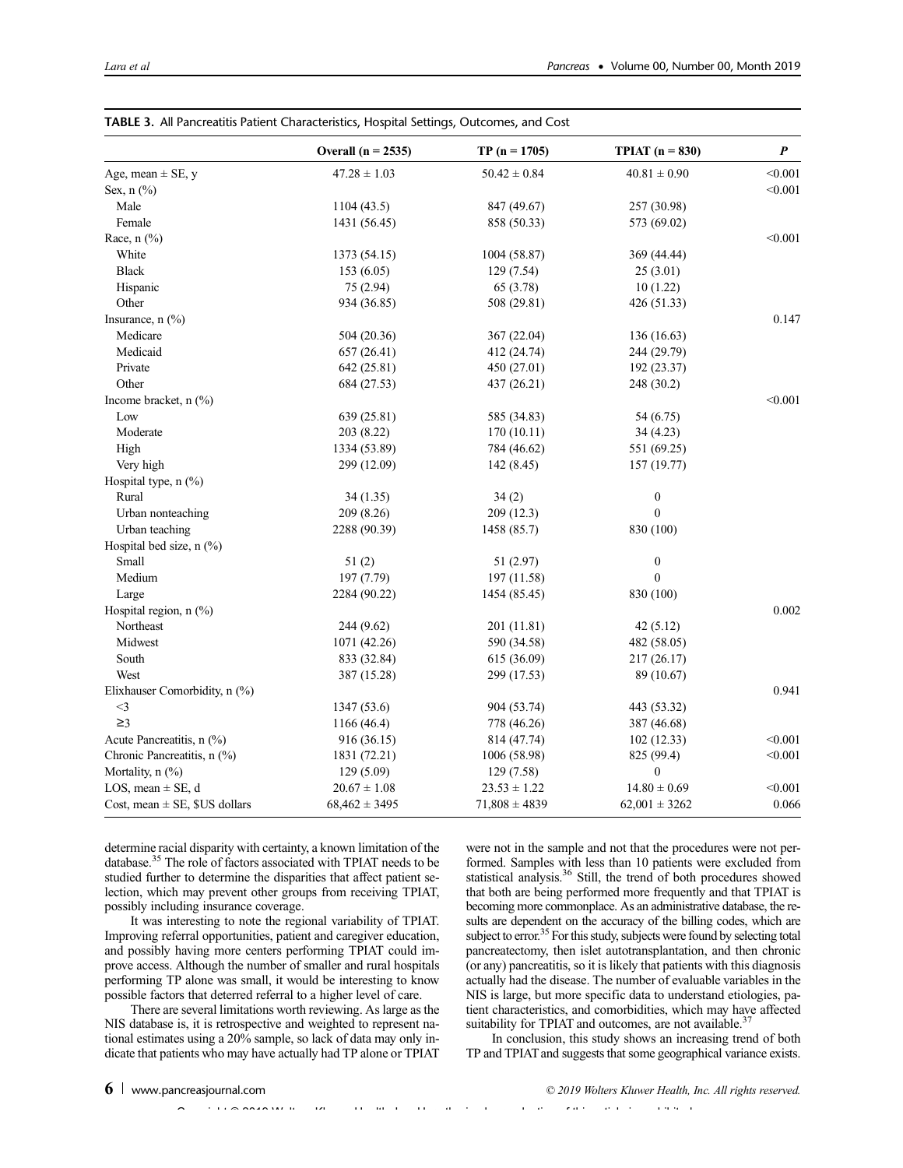|                                     | Overall $(n = 2535)$ | $TP(n = 1705)$    | $TPIAT (n = 830)$ | $\boldsymbol{P}$ |
|-------------------------------------|----------------------|-------------------|-------------------|------------------|
| Age, mean $\pm$ SE, y               | $47.28 \pm 1.03$     | $50.42 \pm 0.84$  | $40.81 \pm 0.90$  | < 0.001          |
| Sex, $n$ $\left(\frac{9}{6}\right)$ |                      |                   |                   | < 0.001          |
| Male                                | 1104(43.5)           | 847 (49.67)       | 257 (30.98)       |                  |
| Female                              | 1431 (56.45)         | 858 (50.33)       | 573 (69.02)       |                  |
| Race, $n$ $(\%)$                    |                      |                   |                   | < 0.001          |
| White                               | 1373 (54.15)         | 1004 (58.87)      | 369 (44.44)       |                  |
| <b>Black</b>                        | 153 (6.05)           | 129 (7.54)        | 25(3.01)          |                  |
| Hispanic                            | 75 (2.94)            | 65 (3.78)         | 10(1.22)          |                  |
| Other                               | 934 (36.85)          | 508 (29.81)       | 426 (51.33)       |                  |
| Insurance, $n$ (%)                  |                      |                   |                   | 0.147            |
| Medicare                            | 504 (20.36)          | 367 (22.04)       | 136 (16.63)       |                  |
| Medicaid                            | 657 (26.41)          | 412 (24.74)       | 244 (29.79)       |                  |
| Private                             | 642 (25.81)          | 450 (27.01)       | 192 (23.37)       |                  |
| Other                               | 684 (27.53)          | 437 (26.21)       | 248 (30.2)        |                  |
| Income bracket, n (%)               |                      |                   |                   | < 0.001          |
| Low                                 | 639 (25.81)          | 585 (34.83)       | 54 (6.75)         |                  |
| Moderate                            | 203 (8.22)           | 170(10.11)        | 34(4.23)          |                  |
| High                                | 1334 (53.89)         | 784 (46.62)       | 551 (69.25)       |                  |
| Very high                           | 299 (12.09)          | 142 (8.45)        | 157 (19.77)       |                  |
| Hospital type, n (%)                |                      |                   |                   |                  |
| Rural                               | 34(1.35)             | 34(2)             | $\boldsymbol{0}$  |                  |
| Urban nonteaching                   | 209 (8.26)           | 209(12.3)         | $\mathbf{0}$      |                  |
| Urban teaching                      | 2288 (90.39)         | 1458 (85.7)       | 830 (100)         |                  |
| Hospital bed size, $n$ (%)          |                      |                   |                   |                  |
| Small                               | 51(2)                | 51 (2.97)         | $\boldsymbol{0}$  |                  |
| Medium                              | 197 (7.79)           | 197 (11.58)       | $\mathbf{0}$      |                  |
| Large                               | 2284 (90.22)         | 1454 (85.45)      | 830 (100)         |                  |
| Hospital region, n (%)              |                      |                   |                   | 0.002            |
| Northeast                           | 244 (9.62)           | 201 (11.81)       | 42(5.12)          |                  |
| Midwest                             | 1071 (42.26)         | 590 (34.58)       | 482 (58.05)       |                  |
| South                               | 833 (32.84)          | 615 (36.09)       | 217 (26.17)       |                  |
| West                                | 387 (15.28)          | 299 (17.53)       | 89 (10.67)        |                  |
| Elixhauser Comorbidity, n (%)       |                      |                   |                   | 0.941            |
| $<$ 3                               | 1347 (53.6)          | 904 (53.74)       | 443 (53.32)       |                  |
| $\geq$ 3                            | 1166 (46.4)          | 778 (46.26)       | 387 (46.68)       |                  |
| Acute Pancreatitis, n (%)           | 916 (36.15)          | 814 (47.74)       | 102(12.33)        | < 0.001          |
| Chronic Pancreatitis, n (%)         | 1831 (72.21)         | 1006 (58.98)      | 825 (99.4)        | < 0.001          |
| Mortality, n (%)                    | 129 (5.09)           | 129 (7.58)        | $\boldsymbol{0}$  |                  |
| LOS, mean $\pm$ SE, d               | $20.67 \pm 1.08$     | $23.53 \pm 1.22$  | $14.80 \pm 0.69$  | < 0.001          |
| Cost, mean $\pm$ SE, \$US dollars   | $68,462 \pm 3495$    | $71,808 \pm 4839$ | $62,001 \pm 3262$ | 0.066            |

TABLE 3. All Pancreatitis Patient Characteristics, Hospital Settings, Outcomes, and Cost

determine racial disparity with certainty, a known limitation of the database.<sup>35</sup> The role of factors associated with TPIAT needs to be studied further to determine the disparities that affect patient selection, which may prevent other groups from receiving TPIAT, possibly including insurance coverage.

It was interesting to note the regional variability of TPIAT. Improving referral opportunities, patient and caregiver education, and possibly having more centers performing TPIAT could improve access. Although the number of smaller and rural hospitals performing TP alone was small, it would be interesting to know possible factors that deterred referral to a higher level of care.

There are several limitations worth reviewing. As large as the NIS database is, it is retrospective and weighted to represent national estimates using a 20% sample, so lack of data may only indicate that patients who may have actually had TP alone or TPIAT were not in the sample and not that the procedures were not performed. Samples with less than 10 patients were excluded from statistical analysis.36 Still, the trend of both procedures showed that both are being performed more frequently and that TPIAT is becoming more commonplace. As an administrative database, the results are dependent on the accuracy of the billing codes, which are subject to error.<sup>35</sup> For this study, subjects were found by selecting total pancreatectomy, then islet autotransplantation, and then chronic (or any) pancreatitis, so it is likely that patients with this diagnosis actually had the disease. The number of evaluable variables in the NIS is large, but more specific data to understand etiologies, patient characteristics, and comorbidities, which may have affected suitability for TPIAT and outcomes, are not available. $3<sup>7</sup>$ 

In conclusion, this study shows an increasing trend of both TP and TPIAT and suggests that some geographical variance exists.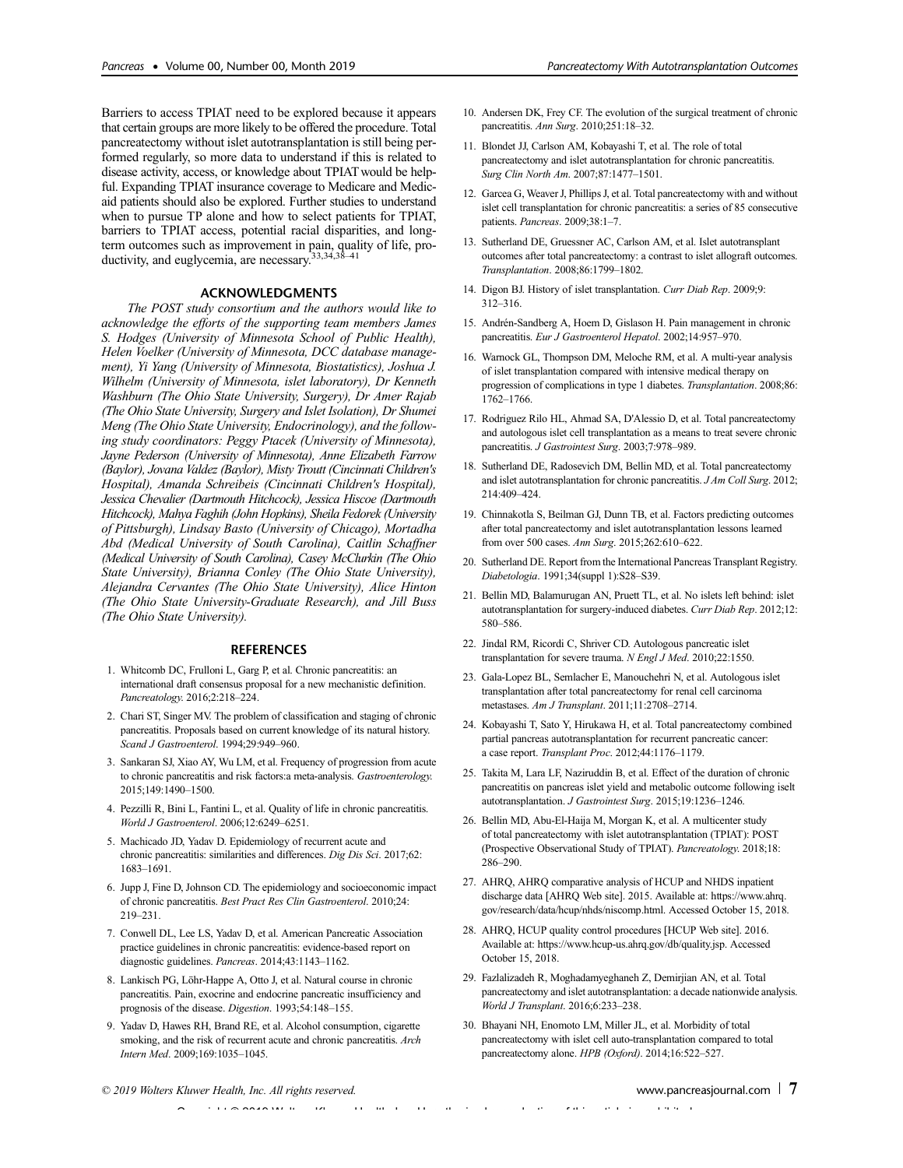Barriers to access TPIAT need to be explored because it appears that certain groups are more likely to be offered the procedure. Total pancreatectomy without islet autotransplantation is still being performed regularly, so more data to understand if this is related to disease activity, access, or knowledge about TPIAT would be helpful. Expanding TPIAT insurance coverage to Medicare and Medicaid patients should also be explored. Further studies to understand when to pursue TP alone and how to select patients for TPIAT, barriers to TPIAT access, potential racial disparities, and longterm outcomes such as improvement in pain, quality of life, pro-ductivity, and euglycemia, are necessary.33,34,38–<sup>41</sup>

### ACKNOWLEDGMENTS

The POST study consortium and the authors would like to acknowledge the efforts of the supporting team members James S. Hodges (University of Minnesota School of Public Health), Helen Voelker (University of Minnesota, DCC database management), Yi Yang (University of Minnesota, Biostatistics), Joshua J. Wilhelm (University of Minnesota, islet laboratory), Dr Kenneth Washburn (The Ohio State University, Surgery), Dr Amer Rajab (The Ohio State University, Surgery and Islet Isolation), Dr Shumei Meng (The Ohio State University, Endocrinology), and the following study coordinators: Peggy Ptacek (University of Minnesota), Jayne Pederson (University of Minnesota), Anne Elizabeth Farrow (Baylor), Jovana Valdez (Baylor), Misty Troutt (Cincinnati Children's Hospital), Amanda Schreibeis (Cincinnati Children's Hospital), Jessica Chevalier (Dartmouth Hitchcock), Jessica Hiscoe (Dartmouth Hitchcock), Mahya Faghih (John Hopkins), Sheila Fedorek (University of Pittsburgh), Lindsay Basto (University of Chicago), Mortadha Abd (Medical University of South Carolina), Caitlin Schaffner (Medical University of South Carolina), Casey McClurkin (The Ohio State University), Brianna Conley (The Ohio State University), Alejandra Cervantes (The Ohio State University), Alice Hinton (The Ohio State University-Graduate Research), and Jill Buss (The Ohio State University).

#### **REFERENCES**

- 1. Whitcomb DC, Frulloni L, Garg P, et al. Chronic pancreatitis: an international draft consensus proposal for a new mechanistic definition. Pancreatology. 2016;2:218–224.
- 2. Chari ST, Singer MV. The problem of classification and staging of chronic pancreatitis. Proposals based on current knowledge of its natural history. Scand J Gastroenterol. 1994;29:949–960.
- 3. Sankaran SJ, Xiao AY, Wu LM, et al. Frequency of progression from acute to chronic pancreatitis and risk factors:a meta-analysis. Gastroenterology. 2015;149:1490–1500.
- 4. Pezzilli R, Bini L, Fantini L, et al. Quality of life in chronic pancreatitis. World J Gastroenterol. 2006;12:6249–6251.
- 5. Machicado JD, Yadav D. Epidemiology of recurrent acute and chronic pancreatitis: similarities and differences. Dig Dis Sci. 2017;62: 1683–1691.
- 6. Jupp J, Fine D, Johnson CD. The epidemiology and socioeconomic impact of chronic pancreatitis. Best Pract Res Clin Gastroenterol. 2010;24: 219–231.
- 7. Conwell DL, Lee LS, Yadav D, et al. American Pancreatic Association practice guidelines in chronic pancreatitis: evidence-based report on diagnostic guidelines. Pancreas. 2014;43:1143–1162.
- 8. Lankisch PG, Löhr-Happe A, Otto J, et al. Natural course in chronic pancreatitis. Pain, exocrine and endocrine pancreatic insufficiency and prognosis of the disease. Digestion. 1993;54:148–155.
- 9. Yadav D, Hawes RH, Brand RE, et al. Alcohol consumption, cigarette smoking, and the risk of recurrent acute and chronic pancreatitis. Arch Intern Med. 2009;169:1035–1045.
- 10. Andersen DK, Frey CF. The evolution of the surgical treatment of chronic pancreatitis. Ann Surg. 2010;251:18–32.
- 11. Blondet JJ, Carlson AM, Kobayashi T, et al. The role of total pancreatectomy and islet autotransplantation for chronic pancreatitis. Surg Clin North Am. 2007;87:1477–1501.
- 12. Garcea G, Weaver J, Phillips J, et al. Total pancreatectomy with and without islet cell transplantation for chronic pancreatitis: a series of 85 consecutive patients. Pancreas. 2009;38:1–7.
- 13. Sutherland DE, Gruessner AC, Carlson AM, et al. Islet autotransplant outcomes after total pancreatectomy: a contrast to islet allograft outcomes. Transplantation. 2008;86:1799–1802.
- 14. Digon BJ. History of islet transplantation. Curr Diab Rep. 2009;9: 312–316.
- 15. Andrén-Sandberg A, Hoem D, Gislason H. Pain management in chronic pancreatitis. Eur J Gastroenterol Hepatol. 2002;14:957–970.
- 16. Warnock GL, Thompson DM, Meloche RM, et al. A multi-year analysis of islet transplantation compared with intensive medical therapy on progression of complications in type 1 diabetes. Transplantation. 2008;86: 1762–1766.
- 17. Rodriguez Rilo HL, Ahmad SA, D'Alessio D, et al. Total pancreatectomy and autologous islet cell transplantation as a means to treat severe chronic pancreatitis. J Gastrointest Surg. 2003;7:978-989.
- 18. Sutherland DE, Radosevich DM, Bellin MD, et al. Total pancreatectomy and islet autotransplantation for chronic pancreatitis.  $JAm$  Coll Surg. 2012; 214:409–424.
- 19. Chinnakotla S, Beilman GJ, Dunn TB, et al. Factors predicting outcomes after total pancreatectomy and islet autotransplantation lessons learned from over 500 cases. Ann Surg. 2015;262:610–622.
- 20. Sutherland DE. Report from the International Pancreas Transplant Registry. Diabetologia. 1991;34(suppl 1):S28–S39.
- 21. Bellin MD, Balamurugan AN, Pruett TL, et al. No islets left behind: islet autotransplantation for surgery-induced diabetes. Curr Diab Rep. 2012;12: 580–586.
- 22. Jindal RM, Ricordi C, Shriver CD. Autologous pancreatic islet transplantation for severe trauma. N Engl J Med. 2010;22:1550.
- 23. Gala-Lopez BL, Semlacher E, Manouchehri N, et al. Autologous islet transplantation after total pancreatectomy for renal cell carcinoma metastases. Am J Transplant. 2011;11:2708–2714.
- 24. Kobayashi T, Sato Y, Hirukawa H, et al. Total pancreatectomy combined partial pancreas autotransplantation for recurrent pancreatic cancer: a case report. Transplant Proc. 2012;44:1176–1179.
- 25. Takita M, Lara LF, Naziruddin B, et al. Effect of the duration of chronic pancreatitis on pancreas islet yield and metabolic outcome following iselt autotransplantation. J Gastrointest Surg. 2015;19:1236–1246.
- 26. Bellin MD, Abu-El-Haija M, Morgan K, et al. A multicenter study of total pancreatectomy with islet autotransplantation (TPIAT): POST (Prospective Observational Study of TPIAT). Pancreatology. 2018;18: 286–290.
- 27. AHRQ, AHRQ comparative analysis of HCUP and NHDS inpatient discharge data [AHRQ Web site]. 2015. Available at: [https://www.ahrq.](https://www.ahrq.gov/research/data/hcup/nhds/niscomp.html) [gov/research/data/hcup/nhds/niscomp.html.](https://www.ahrq.gov/research/data/hcup/nhds/niscomp.html) Accessed October 15, 2018.
- 28. AHRQ, HCUP quality control procedures [HCUP Web site]. 2016. Available at:<https://www.hcup-us.ahrq.gov/db/quality.jsp>. Accessed October 15, 2018.
- 29. Fazlalizadeh R, Moghadamyeghaneh Z, Demirjian AN, et al. Total pancreatectomy and islet autotransplantation: a decade nationwide analysis. World J Transplant. 2016;6:233–238.
- 30. Bhayani NH, Enomoto LM, Miller JL, et al. Morbidity of total pancreatectomy with islet cell auto-transplantation compared to total pancreatectomy alone. HPB (Oxford). 2014;16:522-527.

© 2019 Wolters Kluwer Health, Inc. All rights reserved. [www.pancreasjournal.com](http://www.pancreasjournal.com)  $\mid 7$